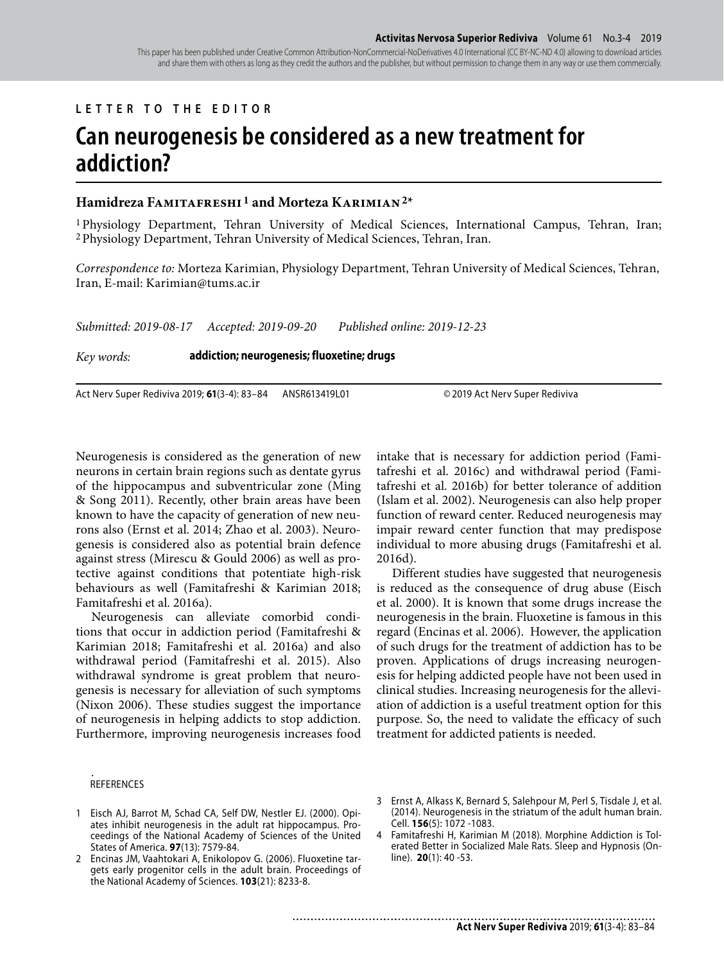## **LETTER TO THE EDITOR**

## **Can neurogenesis be considered as a new treatment for addiction?**

## **Hamidreza Famitafreshi 1 and Morteza Karimian 2\***

1 Physiology Department, Tehran University of Medical Sciences, International Campus, Tehran, Iran; 2 Physiology Department, Tehran University of Medical Sciences, Tehran, Iran.

*Correspondence to:* Morteza Karimian, Physiology Department, Tehran University of Medical Sciences, Tehran, Iran, E-mail: Karimian@tums.ac.ir

*Submitted: 2019-08-17 Accepted: 2019-09-20 Published online: 2019-12-23*

*Key words:* **addiction; neurogenesis; fluoxetine; drugs**

Act Nerv Super Rediviva 2019; **61**(3-4): 83–84 ANSR613419L01 © 2019 Act Nerv Super Rediviva

Neurogenesis is considered as the generation of new neurons in certain brain regions such as dentate gyrus of the hippocampus and subventricular zone (Ming & Song 2011). Recently, other brain areas have been known to have the capacity of generation of new neurons also (Ernst et al. 2014; Zhao et al. 2003). Neurogenesis is considered also as potential brain defence against stress (Mirescu & Gould 2006) as well as protective against conditions that potentiate high-risk behaviours as well (Famitafreshi & Karimian 2018; Famitafreshi et al. 2016a).

Neurogenesis can alleviate comorbid conditions that occur in addiction period (Famitafreshi & Karimian 2018; Famitafreshi et al. 2016a) and also withdrawal period (Famitafreshi et al. 2015). Also withdrawal syndrome is great problem that neurogenesis is necessary for alleviation of such symptoms (Nixon 2006). These studies suggest the importance of neurogenesis in helping addicts to stop addiction. Furthermore, improving neurogenesis increases food intake that is necessary for addiction period (Famitafreshi et al. 2016c) and withdrawal period (Famitafreshi et al. 2016b) for better tolerance of addition (Islam et al. 2002). Neurogenesis can also help proper function of reward center. Reduced neurogenesis may impair reward center function that may predispose individual to more abusing drugs (Famitafreshi et al. 2016d).

Different studies have suggested that neurogenesis is reduced as the consequence of drug abuse (Eisch et al. 2000). It is known that some drugs increase the neurogenesis in the brain. Fluoxetine is famous in this regard (Encinas et al. 2006). However, the application of such drugs for the treatment of addiction has to be proven. Applications of drugs increasing neurogenesis for helping addicted people have not been used in clinical studies. Increasing neurogenesis for the alleviation of addiction is a useful treatment option for this purpose. So, the need to validate the efficacy of such treatment for addicted patients is needed.

## *.* REFERENCES

- 1 Eisch AJ, Barrot M, Schad CA, Self DW, Nestler EJ. (2000). Opiates inhibit neurogenesis in the adult rat hippocampus. Proceedings of the National Academy of Sciences of the United States of America. **97**(13): 7579-84.
- 2 Encinas JM, Vaahtokari A, Enikolopov G. (2006). Fluoxetine targets early progenitor cells in the adult brain. Proceedings of the National Academy of Sciences. **103**(21): 8233-8.
- 3 Ernst A, Alkass K, Bernard S, Salehpour M, Perl S, Tisdale J, et al. (2014). Neurogenesis in the striatum of the adult human brain. Cell. **156**(5): 1072 -1083.
- 4 Famitafreshi H, Karimian M (2018). Morphine Addiction is Tolerated Better in Socialized Male Rats. Sleep and Hypnosis (Online). **20**(1): 40 -53.